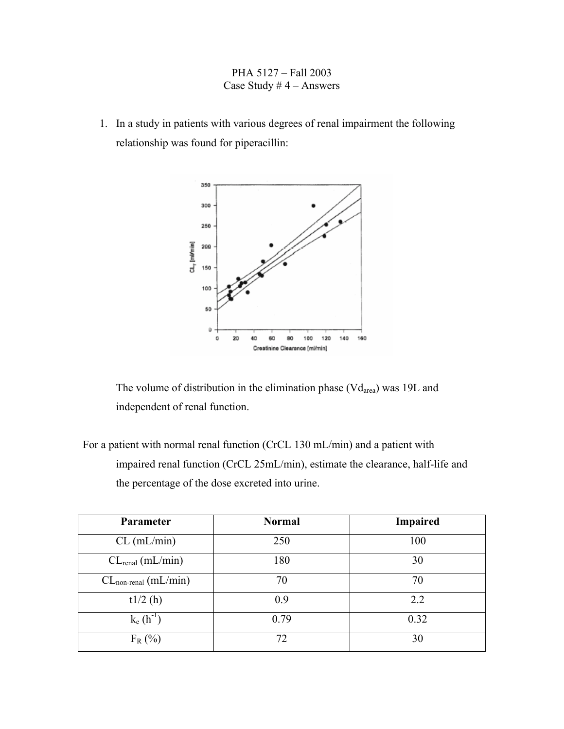## PHA 5127 – Fall 2003 Case Study  $# 4 -$  Answers

1. In a study in patients with various degrees of renal impairment the following relationship was found for piperacillin:



The volume of distribution in the elimination phase  $(Vd_{area})$  was 19L and independent of renal function.

For a patient with normal renal function (CrCL 130 mL/min) and a patient with impaired renal function (CrCL 25mL/min), estimate the clearance, half-life and the percentage of the dose excreted into urine.

| Parameter                      | <b>Normal</b> | <b>Impaired</b> |
|--------------------------------|---------------|-----------------|
| $CL$ (mL/min)                  | 250           | 100             |
| $CL_{\text{real}}$ (mL/min)    | 180           | 30              |
| $CL_{non\text{-}real}(mL/min)$ | 70            | 70              |
| t1/2(h)                        | 0.9           | 2.2             |
| $k_e(h^{-1})$                  | 0.79          | 0.32            |
| $F_R$ (%)                      | 72            | 30              |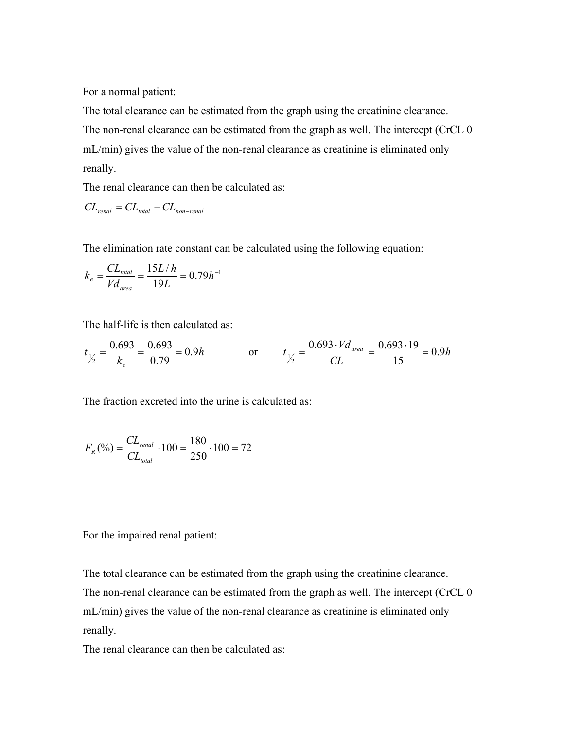For a normal patient:

The total clearance can be estimated from the graph using the creatinine clearance. The non-renal clearance can be estimated from the graph as well. The intercept (CrCL 0 mL/min) gives the value of the non-renal clearance as creatinine is eliminated only renally.

The renal clearance can then be calculated as:

$$
CL_{\text{real}} = CL_{\text{total}} - CL_{\text{non-real}}
$$

The elimination rate constant can be calculated using the following equation:

$$
k_e = \frac{CL_{total}}{V d_{area}} = \frac{15L/h}{19L} = 0.79h^{-1}
$$

The half-life is then calculated as:

$$
t_{\frac{1}{2}} = \frac{0.693}{k_e} = \frac{0.693}{0.79} = 0.9h
$$
 or 
$$
t_{\frac{1}{2}} = \frac{0.693 \cdot Vd_{area}}{CL} = \frac{0.693 \cdot 19}{15} = 0.9h
$$

The fraction excreted into the urine is calculated as:

$$
F_R(\%) = \frac{CL_{\text{renal}}}{CL_{\text{total}}} \cdot 100 = \frac{180}{250} \cdot 100 = 72
$$

For the impaired renal patient:

The total clearance can be estimated from the graph using the creatinine clearance. The non-renal clearance can be estimated from the graph as well. The intercept (CrCL 0 mL/min) gives the value of the non-renal clearance as creatinine is eliminated only renally.

The renal clearance can then be calculated as: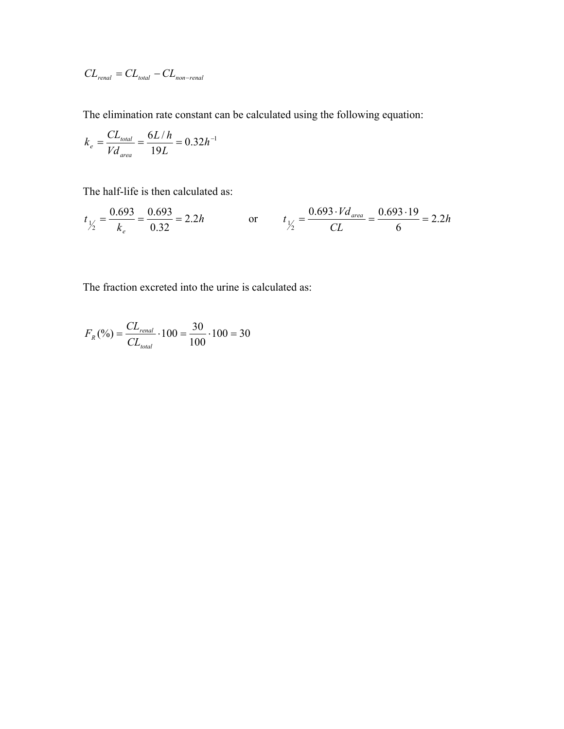$$
CL_{\text{real}} = CL_{\text{total}} - CL_{\text{non-real}}
$$

The elimination rate constant can be calculated using the following equation:

$$
k_e = \frac{CL_{total}}{V d_{area}} = \frac{6L/h}{19L} = 0.32h^{-1}
$$

The half-life is then calculated as:

$$
t_{\frac{1}{2}} = \frac{0.693}{k_e} = \frac{0.693}{0.32} = 2.2h
$$
 or 
$$
t_{\frac{1}{2}} = \frac{0.693 \cdot V d_{area}}{CL} = \frac{0.693 \cdot 19}{6} = 2.2h
$$

The fraction excreted into the urine is calculated as:

$$
F_R(\%) = \frac{CL_{\text{renal}}}{CL_{\text{total}}} \cdot 100 = \frac{30}{100} \cdot 100 = 30
$$